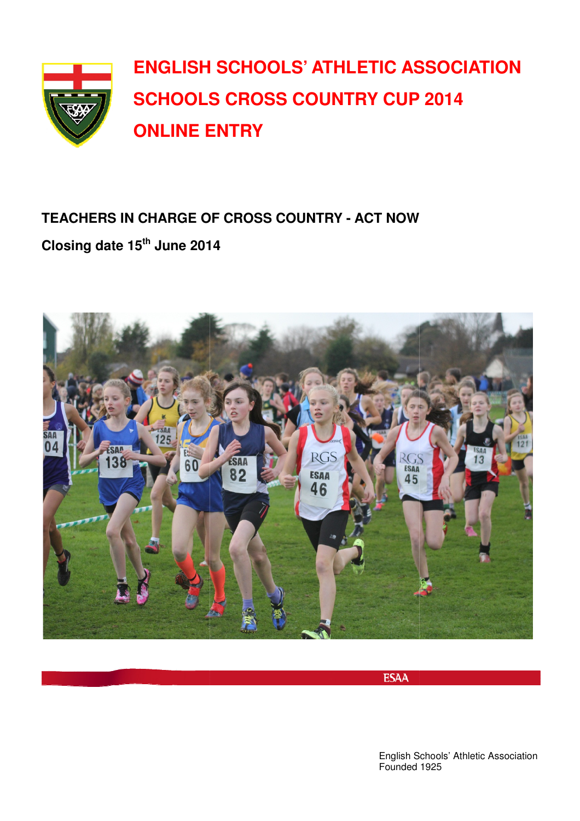

## **TEACHERS IN CHARGE OF CROSS COUNTRY - ACT NOW Closing date 15th June 2014**



**ESAA** 

English Schools' Athletic Association Founded 1925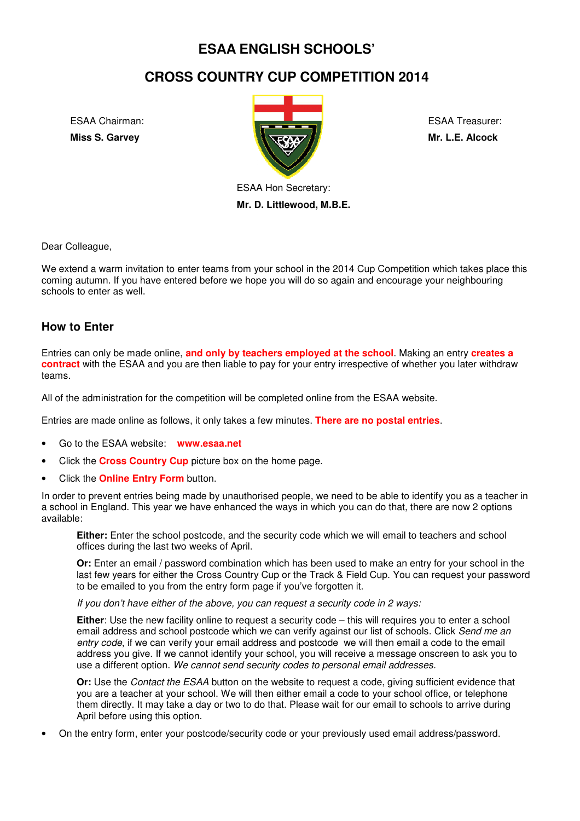## **ESAA ENGLISH SCHOOLS'**

## **CROSS COUNTRY CUP COMPETITION 2014**

ESAA Chairman: **Miss S. Garvey** 



ESAA Treasurer: **Mr. L.E. Alcock** 

ESAA Hon Secretary: **Mr. D. Littlewood, M.B.E.** 

Dear Colleague,

We extend a warm invitation to enter teams from your school in the 2014 Cup Competition which takes place this coming autumn. If you have entered before we hope you will do so again and encourage your neighbouring schools to enter as well.

#### **How to Enter**

Entries can only be made online, **and only by teachers employed at the school** . Making an entry **creates a contract** with the ESAA and you are then liable to pay for your entry irrespective of whether you later withdraw teams.

All of the administration for the competition will be completed online from the ESAA website.

Entries are made online as follows, it only takes a few minutes. **There are no postal entries** .

- Go to the ESAA website: **www.esaa.net**
- Click the **Cross Country Cup** picture box on the home page.
- Click the **Online Entry Form** button.

In order to prevent entries being made by unauthorised people, we need to be able to identify you as a teacher in a school in England. This year we have enhanced the ways in which you can do that, there are now 2 options available:

**Either:** Enter the school postcode, and the security code which we will email to teachers and school offices during the last two weeks of April.

Or: Enter an email / password combination which has been used to make an entry for your school in the last few years for either the Cross Country Cup or the Track & Field Cup. You can request your password to be emailed to you from the entry form page if you've forgotten it.

If you don't have either of the above, you can request a security code in 2 ways:

**Either**: Use the new facility online to request a security code – this will requires you to enter a school email address and school postcode which we can verify against our list of schools. Click Send me an entry code, if we can verify your email address and postcode we will then email a code to the email address you give. If we cannot identify your school, you will receive a message onscreen to ask you to use a different option. We cannot send security codes to personal email addresses.

Or: Use the *Contact the ESAA* button on the website to request a code, giving sufficient evidence that you are a teacher at your school. We will then either email a code to your school office, or telephone them directly. It may take a day or two to do that. Please wait for our email to schools to arrive during April before using this option. , you will receive a message onscreen to ask you<br>*des to personal email addresses.*<br>ite to request a code, giving sufficient evidence tl<br>er email a code to your school office, or telephon<br>Please wait for our email to schoo

• On the entry form, enter your postcode/security code or your previously used email address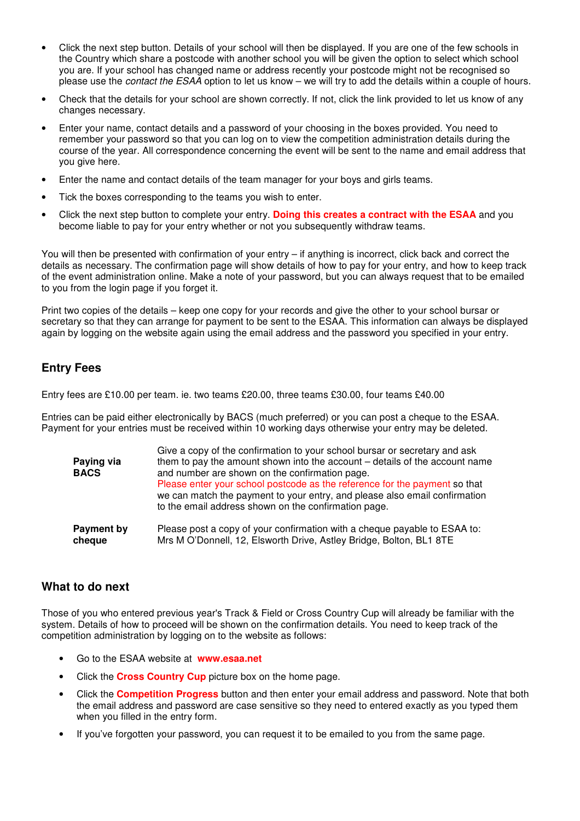- Click the next step button. Details of your school will then be displayed. If you are one of the few schools in the Country which share a postcode with another school you will be given the option to select which school you are. If your school has changed name or address recently your postcode might not be recognised so please use the contact the ESAA option to let us know – we will try to add the details within a couple of hours.
- Check that the details for your school are shown correctly. If not, click the link provided to let us know of any changes necessary.
- Enter your name, contact details and a password of your choosing in the boxes provided. You need to remember your password so that you can log on to view the competition administration details during the course of the year. All correspondence concerning the event will be sent to the name and email address that you give here.
- Enter the name and contact details of the team manager for your boys and girls teams.
- Tick the boxes corresponding to the teams you wish to enter.
- Click the next step button to complete your entry. **Doing this creates a contract with the ESAA** and you become liable to pay for your entry whether or not you subsequently withdraw teams.

You will then be presented with confirmation of your entry – if anything is incorrect, click back and correct the details as necessary. The confirmation page will show details of how to pay for your entry, and how to keep track of the event administration online. Make a note of your password, but you can always request that to be emailed to you from the login page if you forget it.

Print two copies of the details – keep one copy for your records and give the other to your school bursar or secretary so that they can arrange for payment to be sent to the ESAA. This information can always be displayed again by logging on the website again using the email address and the password you specified in your entry.

#### **Entry Fees**

Entry fees are £10.00 per team. ie. two teams £20.00, three teams £30.00, four teams £40.00

Entries can be paid either electronically by BACS (much preferred) or you can post a cheque to the ESAA. Payment for your entries must be received within 10 working days otherwise your entry may be deleted.

| Paying via<br><b>BACS</b> | Give a copy of the confirmation to your school bursar or secretary and ask<br>them to pay the amount shown into the account – details of the account name<br>and number are shown on the confirmation page.<br>Please enter your school postcode as the reference for the payment so that<br>we can match the payment to your entry, and please also email confirmation<br>to the email address shown on the confirmation page. |
|---------------------------|---------------------------------------------------------------------------------------------------------------------------------------------------------------------------------------------------------------------------------------------------------------------------------------------------------------------------------------------------------------------------------------------------------------------------------|
| Payment by                | Please post a copy of your confirmation with a cheque payable to ESAA to:                                                                                                                                                                                                                                                                                                                                                       |
| cheque                    | Mrs M O'Donnell, 12, Elsworth Drive, Astley Bridge, Bolton, BL1 8TE                                                                                                                                                                                                                                                                                                                                                             |

#### **What to do next**

Those of you who entered previous year's Track & Field or Cross Country Cup will already be familiar with the system. Details of how to proceed will be shown on the confirmation details. You need to keep track of the competition administration by logging on to the website as follows:

- Go to the ESAA website at **www.esaa.net**
- Click the **Cross Country Cup** picture box on the home page.
- Click the **Competition Progress** button and then enter your email address and password. Note that both the email address and password are case sensitive so they need to entered exactly as you typed them when you filled in the entry form.
- If you've forgotten your password, you can request it to be emailed to you from the same page.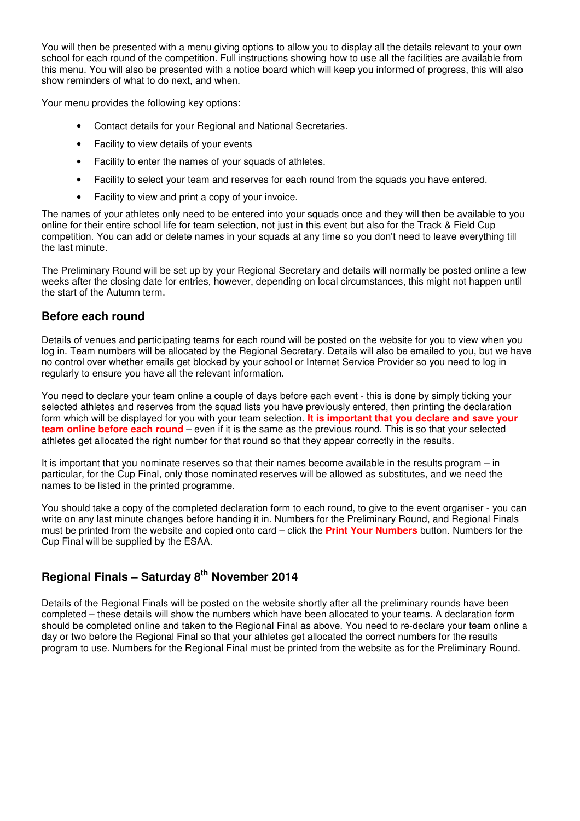You will then be presented with a menu giving options to allow you to display all the details relevant to your own school for each round of the competition. Full instructions showing how to use all the facilities are available from this menu. You will also be presented with a notice board which will keep you informed of progress, this will also show reminders of what to do next, and when.

Your menu provides the following key options:

- Contact details for your Regional and National Secretaries.
- Facility to view details of your events
- Facility to enter the names of your squads of athletes.
- Facility to select your team and reserves for each round from the squads you have entered.
- Facility to view and print a copy of your invoice.

The names of your athletes only need to be entered into your squads once and they will then be available to you online for their entire school life for team selection, not just in this event but also for the Track & Field Cup competition. You can add or delete names in your squads at any time so you don't need to leave everything till the last minute.

The Preliminary Round will be set up by your Regional Secretary and details will normally be posted online a few weeks after the closing date for entries, however, depending on local circumstances, this might not happen until the start of the Autumn term.

#### **Before each round**

Details of venues and participating teams for each round will be posted on the website for you to view when you log in. Team numbers will be allocated by the Regional Secretary. Details will also be emailed to you, but we have no control over whether emails get blocked by your school or Internet Service Provider so you need to log in regularly to ensure you have all the relevant information.

You need to declare your team online a couple of days before each event - this is done by simply ticking your selected athletes and reserves from the squad lists you have previously entered, then printing the declaration form which will be displayed for you with your team selection. **It is important that you declare and save your team online before each round** – even if it is the same as the previous round. This is so that your selected athletes get allocated the right number for that round so that they appear correctly in the results.

It is important that you nominate reserves so that their names become available in the results program – in particular, for the Cup Final, only those nominated reserves will be allowed as substitutes, and we need the names to be listed in the printed programme.

You should take a copy of the completed declaration form to each round, to give to the event organiser - you can write on any last minute changes before handing it in. Numbers for the Preliminary Round, and Regional Finals must be printed from the website and copied onto card – click the **Print Your Numbers** button. Numbers for the Cup Final will be supplied by the ESAA.

### **Regional Finals – Saturday 8th November 2014**

Details of the Regional Finals will be posted on the website shortly after all the preliminary rounds have been completed – these details will show the numbers which have been allocated to your teams. A declaration form should be completed online and taken to the Regional Final as above. You need to re-declare your team online a day or two before the Regional Final so that your athletes get allocated the correct numbers for the results program to use. Numbers for the Regional Final must be printed from the website as for the Preliminary Round.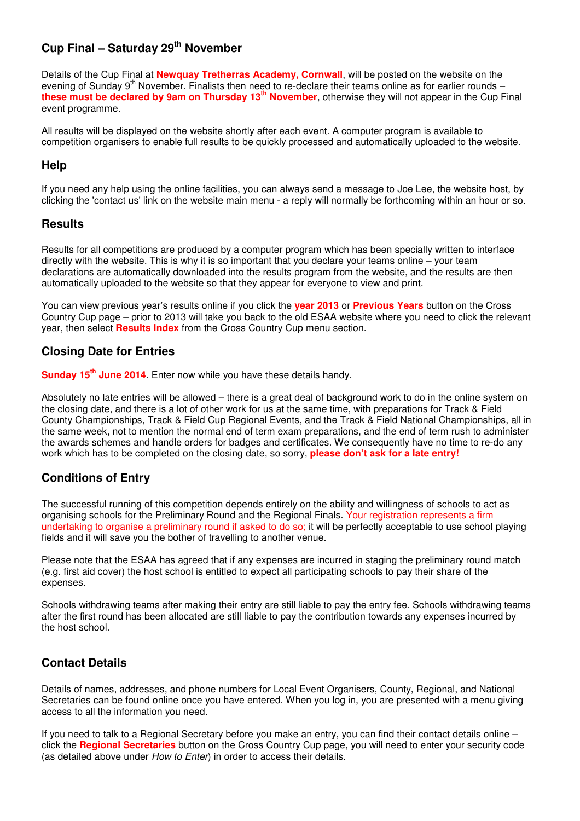#### **Cup Final – Saturday 29th November**

Details of the Cup Final at **Newquay Tretherras Academy, Cornwall**, will be posted on the website on the evening of Sunday 9<sup>th</sup> November. Finalists then need to re-declare their teams online as for earlier rounds **these must be declared by 9am on Thursday 13th November**, otherwise they will not appear in the Cup Final event programme.

All results will be displayed on the website shortly after each event. A computer program is available to competition organisers to enable full results to be quickly processed and automatically uploaded to the website.

#### **Help**

If you need any help using the online facilities, you can always send a message to Joe Lee, the website host, by clicking the 'contact us' link on the website main menu - a reply will normally be forthcoming within an hour or so.

#### **Results**

Results for all competitions are produced by a computer program which has been specially written to interface directly with the website. This is why it is so important that you declare your teams online – your team declarations are automatically downloaded into the results program from the website, and the results are then automatically uploaded to the website so that they appear for everyone to view and print.

You can view previous year's results online if you click the **year 2013** or **Previous Years** button on the Cross Country Cup page – prior to 2013 will take you back to the old ESAA website where you need to click the relevant year, then select **Results Index** from the Cross Country Cup menu section.

#### **Closing Date for Entries**

**Sunday 15th June 2014**. Enter now while you have these details handy.

Absolutely no late entries will be allowed – there is a great deal of background work to do in the online system on the closing date, and there is a lot of other work for us at the same time, with preparations for Track & Field County Championships, Track & Field Cup Regional Events, and the Track & Field National Championships, all in the same week, not to mention the normal end of term exam preparations, and the end of term rush to administer the awards schemes and handle orders for badges and certificates. We consequently have no time to re-do any work which has to be completed on the closing date, so sorry, **please don't ask for a late entry!**

#### **Conditions of Entry**

The successful running of this competition depends entirely on the ability and willingness of schools to act as organising schools for the Preliminary Round and the Regional Finals. Your registration represents a firm undertaking to organise a preliminary round if asked to do so; it will be perfectly acceptable to use school playing fields and it will save you the bother of travelling to another venue.

Please note that the ESAA has agreed that if any expenses are incurred in staging the preliminary round match (e.g. first aid cover) the host school is entitled to expect all participating schools to pay their share of the expenses.

Schools withdrawing teams after making their entry are still liable to pay the entry fee. Schools withdrawing teams after the first round has been allocated are still liable to pay the contribution towards any expenses incurred by the host school.

#### **Contact Details**

Details of names, addresses, and phone numbers for Local Event Organisers, County, Regional, and National Secretaries can be found online once you have entered. When you log in, you are presented with a menu giving access to all the information you need.

If you need to talk to a Regional Secretary before you make an entry, you can find their contact details online – click the **Regional Secretaries** button on the Cross Country Cup page, you will need to enter your security code (as detailed above under How to Enter) in order to access their details.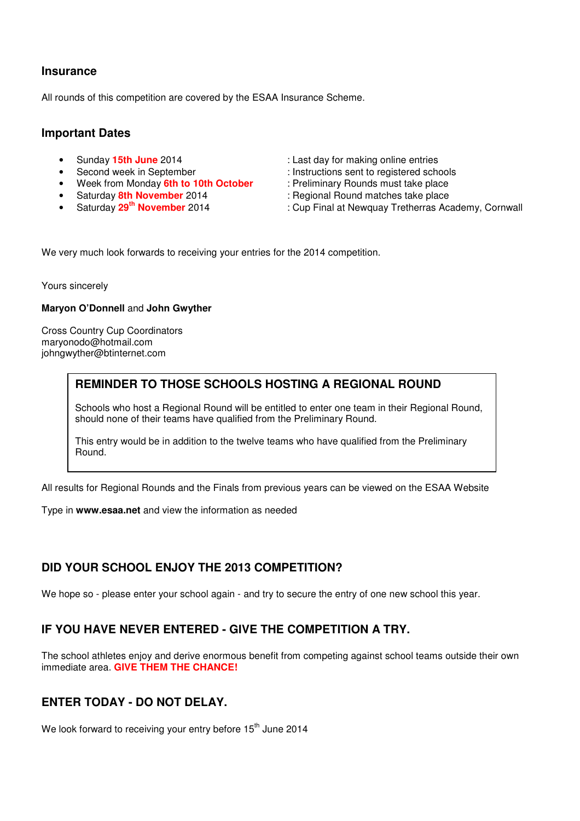#### **Insurance**

All rounds of this competition are covered by the ESAA Insurance Scheme.

#### **Important Dates**

- 
- 
- Week from Monday **6th to 10th October** : Preliminary Rounds must take place<br>• Saturday *8th November* 2014 : Regional Round matches take place
- 
- 
- Sunday **15th June** 2014 : Last day for making online entries
	- Second week in September : Instructions sent to registered schools
		-
- Saturday **8th November** 2014 : Regional Round matches take place<br>• Saturday 29<sup>th</sup> November 2014 : Cup Final at Newquay Tretherras Ac
	- : Cup Final at Newquay Tretherras Academy, Cornwall

We very much look forwards to receiving your entries for the 2014 competition.

Yours sincerely

#### **Maryon O'Donnell** and **John Gwyther**

Cross Country Cup Coordinators maryonodo@hotmail.com johngwyther@btinternet.com

#### **REMINDER TO THOSE SCHOOLS HOSTING A REGIONAL ROUND**

Schools who host a Regional Round will be entitled to enter one team in their Regional Round, should none of their teams have qualified from the Preliminary Round.

This entry would be in addition to the twelve teams who have qualified from the Preliminary Round.

All results for Regional Rounds and the Finals from previous years can be viewed on the ESAA Website

Type in **www.esaa.net** and view the information as needed

#### **DID YOUR SCHOOL ENJOY THE 2013 COMPETITION?**

We hope so - please enter your school again - and try to secure the entry of one new school this year.

#### **IF YOU HAVE NEVER ENTERED - GIVE THE COMPETITION A TRY.**

The school athletes enjoy and derive enormous benefit from competing against school teams outside their own immediate area. **GIVE THEM THE CHANCE!**

#### **ENTER TODAY - DO NOT DELAY.**

We look forward to receiving your entry before 15<sup>th</sup> June 2014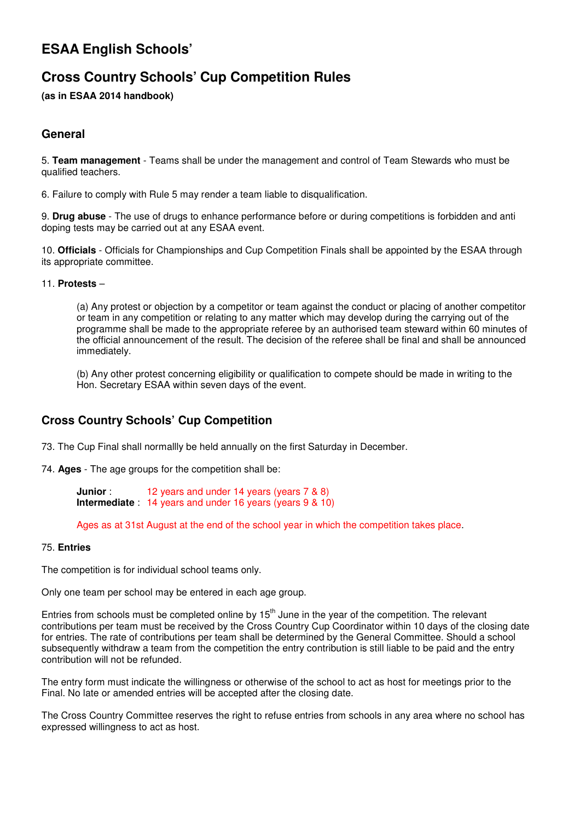## **ESAA English Schools'**

## **Cross Country Schools' Cup Competition Rules**

**(as in ESAA 2014 handbook)** 

#### **General**

5. **Team management** - Teams shall be under the management and control of Team Stewards who must be qualified teachers.

6. Failure to comply with Rule 5 may render a team liable to disqualification.

9. **Drug abuse** - The use of drugs to enhance performance before or during competitions is forbidden and anti doping tests may be carried out at any ESAA event.

10. **Officials** - Officials for Championships and Cup Competition Finals shall be appointed by the ESAA through its appropriate committee.

#### 11. **Protests** –

(a) Any protest or objection by a competitor or team against the conduct or placing of another competitor or team in any competition or relating to any matter which may develop during the carrying out of the programme shall be made to the appropriate referee by an authorised team steward within 60 minutes of the official announcement of the result. The decision of the referee shall be final and shall be announced immediately.

(b) Any other protest concerning eligibility or qualification to compete should be made in writing to the Hon. Secretary ESAA within seven days of the event.

#### **Cross Country Schools' Cup Competition**

73. The Cup Final shall normallly be held annually on the first Saturday in December.

74. **Ages** - The age groups for the competition shall be:

**Junior** : 12 years and under 14 years (years 7 & 8) **Intermediate** : 14 years and under 16 years (years 9 & 10)

Ages as at 31st August at the end of the school year in which the competition takes place.

#### 75. **Entries**

The competition is for individual school teams only.

Only one team per school may be entered in each age group.

Entries from schools must be completed online by  $15<sup>th</sup>$  June in the year of the competition. The relevant contributions per team must be received by the Cross Country Cup Coordinator within 10 days of the closing date for entries. The rate of contributions per team shall be determined by the General Committee. Should a school subsequently withdraw a team from the competition the entry contribution is still liable to be paid and the entry contribution will not be refunded.

The entry form must indicate the willingness or otherwise of the school to act as host for meetings prior to the Final. No late or amended entries will be accepted after the closing date.

The Cross Country Committee reserves the right to refuse entries from schools in any area where no school has expressed willingness to act as host.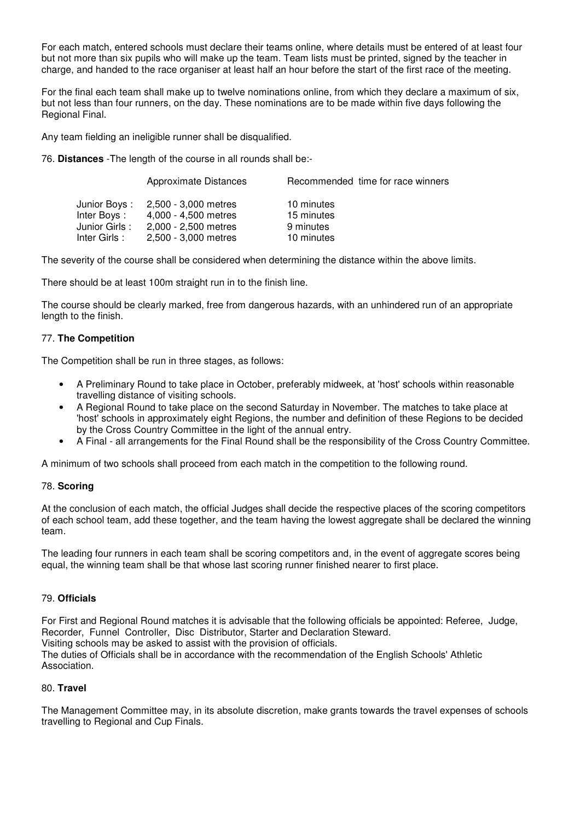For each match, entered schools must declare their teams online, where details must be entered of at least four but not more than six pupils who will make up the team. Team lists must be printed, signed by the teacher in charge, and handed to the race organiser at least half an hour before the start of the first race of the meeting.

For the final each team shall make up to twelve nominations online, from which they declare a maximum of six, but not less than four runners, on the day. These nominations are to be made within five days following the Regional Final.

Any team fielding an ineligible runner shall be disqualified.

76. **Distances** -The length of the course in all rounds shall be:-

|               | Approximate Distances | Recommended time for race winners |
|---------------|-----------------------|-----------------------------------|
| Junior Boys : | 2.500 - 3.000 metres  | 10 minutes                        |
| Inter Boys:   | 4,000 - 4,500 metres  | 15 minutes                        |
| Junior Girls: | 2,000 - 2,500 metres  | 9 minutes                         |
| Inter Girls:  | 2,500 - 3,000 metres  | 10 minutes                        |

The severity of the course shall be considered when determining the distance within the above limits.

There should be at least 100m straight run in to the finish line.

The course should be clearly marked, free from dangerous hazards, with an unhindered run of an appropriate length to the finish.

#### 77. **The Competition**

The Competition shall be run in three stages, as follows:

- A Preliminary Round to take place in October, preferably midweek, at 'host' schools within reasonable travelling distance of visiting schools.
- A Regional Round to take place on the second Saturday in November. The matches to take place at 'host' schools in approximately eight Regions, the number and definition of these Regions to be decided by the Cross Country Committee in the light of the annual entry.
- A Final all arrangements for the Final Round shall be the responsibility of the Cross Country Committee.

A minimum of two schools shall proceed from each match in the competition to the following round.

#### 78. **Scoring**

At the conclusion of each match, the official Judges shall decide the respective places of the scoring competitors of each school team, add these together, and the team having the lowest aggregate shall be declared the winning team.

The leading four runners in each team shall be scoring competitors and, in the event of aggregate scores being equal, the winning team shall be that whose last scoring runner finished nearer to first place.

#### 79. **Officials**

For First and Regional Round matches it is advisable that the following officials be appointed: Referee, Judge, Recorder, Funnel Controller, Disc Distributor, Starter and Declaration Steward. Visiting schools may be asked to assist with the provision of officials. The duties of Officials shall be in accordance with the recommendation of the English Schools' Athletic Association.

#### 80. **Travel**

The Management Committee may, in its absolute discretion, make grants towards the travel expenses of schools travelling to Regional and Cup Finals.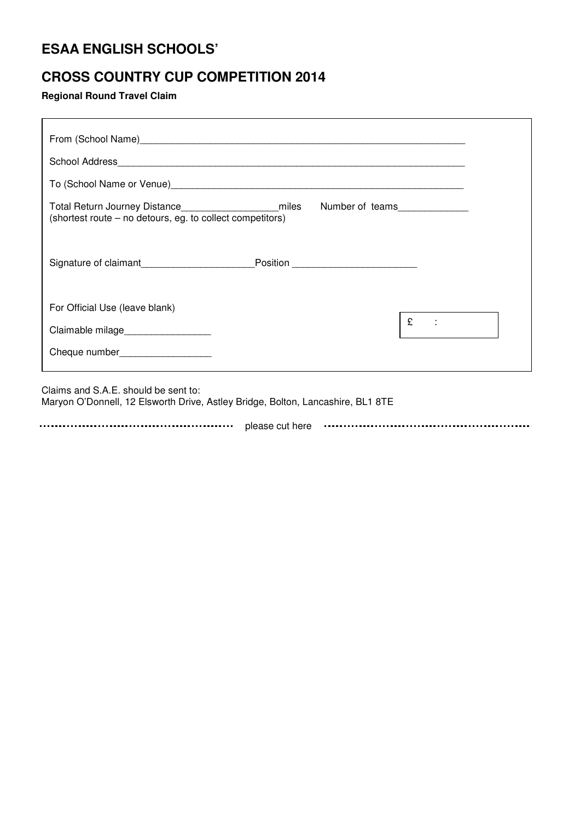## **ESAA ENGLISH SCHOOLS'**

## **CROSS COUNTRY CUP COMPETITION 2014**

**Regional Round Travel Claim** 

| To (School Name or Venue) Manual Communication and Control of Control of Control Communication and Control Orc |   |
|----------------------------------------------------------------------------------------------------------------|---|
|                                                                                                                |   |
|                                                                                                                |   |
| For Official Use (leave blank)                                                                                 |   |
| Claimable milage__________________                                                                             | £ |
| Cheque number___________________                                                                               |   |

Claims and S.A.E. should be sent to: Maryon O'Donnell, 12 Elsworth Drive, Astley Bridge, Bolton, Lancashire, BL1 8TE

**Please cut here** *Please cut here Please cut here Please cut here Please cut here Please cut here Please cut here Please cut and a set and a set and a set and a set and a set and a set and a set a*